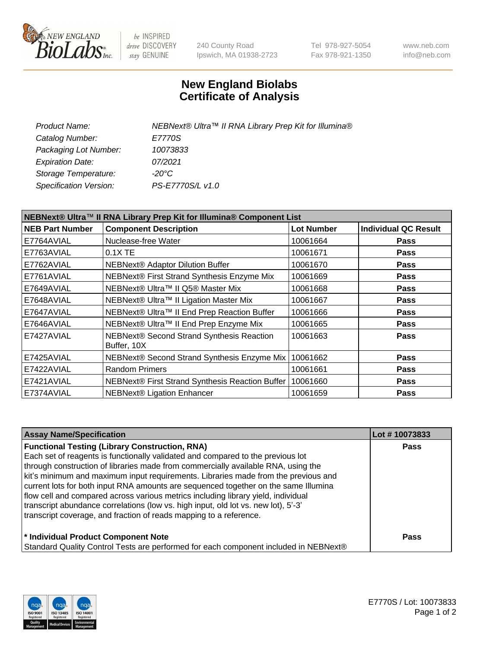

be INSPIRED drive DISCOVERY stay GENUINE

240 County Road Ipswich, MA 01938-2723 Tel 978-927-5054 Fax 978-921-1350 www.neb.com info@neb.com

## **New England Biolabs Certificate of Analysis**

| Product Name:           | NEBNext® Ultra™ II RNA Library Prep Kit for Illumina® |
|-------------------------|-------------------------------------------------------|
| Catalog Number:         | E7770S                                                |
| Packaging Lot Number:   | 10073833                                              |
| <b>Expiration Date:</b> | 07/2021                                               |
| Storage Temperature:    | -20°C                                                 |
| Specification Version:  | PS-E7770S/L v1.0                                      |

| NEBNext® Ultra™ II RNA Library Prep Kit for Illumina® Component List |                                                          |                   |                             |  |
|----------------------------------------------------------------------|----------------------------------------------------------|-------------------|-----------------------------|--|
| <b>NEB Part Number</b>                                               | <b>Component Description</b>                             | <b>Lot Number</b> | <b>Individual QC Result</b> |  |
| E7764AVIAL                                                           | Nuclease-free Water                                      | 10061664          | Pass                        |  |
| E7763AVIAL                                                           | 0.1X TE                                                  | 10061671          | <b>Pass</b>                 |  |
| E7762AVIAL                                                           | NEBNext® Adaptor Dilution Buffer                         | 10061670          | <b>Pass</b>                 |  |
| E7761AVIAL                                                           | NEBNext® First Strand Synthesis Enzyme Mix               | 10061669          | <b>Pass</b>                 |  |
| E7649AVIAL                                                           | NEBNext® Ultra™ II Q5® Master Mix                        | 10061668          | <b>Pass</b>                 |  |
| E7648AVIAL                                                           | NEBNext® Ultra™ II Ligation Master Mix                   | 10061667          | <b>Pass</b>                 |  |
| E7647AVIAL                                                           | NEBNext® Ultra™ II End Prep Reaction Buffer              | 10061666          | <b>Pass</b>                 |  |
| E7646AVIAL                                                           | NEBNext® Ultra™ II End Prep Enzyme Mix                   | 10061665          | Pass                        |  |
| E7427AVIAL                                                           | NEBNext® Second Strand Synthesis Reaction<br>Buffer, 10X | 10061663          | <b>Pass</b>                 |  |
| E7425AVIAL                                                           | NEBNext® Second Strand Synthesis Enzyme Mix              | 10061662          | Pass                        |  |
| E7422AVIAL                                                           | <b>Random Primers</b>                                    | 10061661          | <b>Pass</b>                 |  |
| E7421AVIAL                                                           | NEBNext® First Strand Synthesis Reaction Buffer          | 10061660          | <b>Pass</b>                 |  |
| E7374AVIAL                                                           | <b>NEBNext® Ligation Enhancer</b>                        | 10061659          | <b>Pass</b>                 |  |

| <b>Assay Name/Specification</b>                                                      | Lot #10073833 |
|--------------------------------------------------------------------------------------|---------------|
| <b>Functional Testing (Library Construction, RNA)</b>                                | <b>Pass</b>   |
| Each set of reagents is functionally validated and compared to the previous lot      |               |
| through construction of libraries made from commercially available RNA, using the    |               |
| kit's minimum and maximum input requirements. Libraries made from the previous and   |               |
| current lots for both input RNA amounts are sequenced together on the same Illumina  |               |
| flow cell and compared across various metrics including library yield, individual    |               |
| transcript abundance correlations (low vs. high input, old lot vs. new lot), 5'-3'   |               |
| transcript coverage, and fraction of reads mapping to a reference.                   |               |
| * Individual Product Component Note                                                  | <b>Pass</b>   |
| Standard Quality Control Tests are performed for each component included in NEBNext® |               |